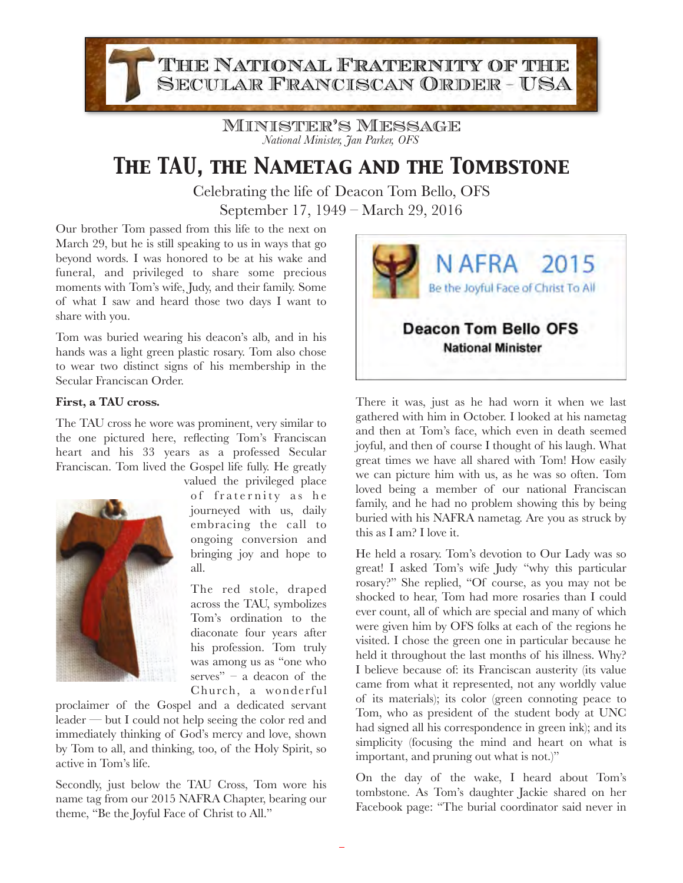THE NATIONAL FRATERNITY OF THE **SECULAR FRANCISCAN ORDER - USA** 

> Minister's Message *National Minister, Jan Parker, OFS*

## *The TAU, the Nametag and the Tombstone*

Celebrating the life of Deacon Tom Bello, OFS September 17, 1949 – March 29, 2016

Our brother Tom passed from this life to the next on March 29, but he is still speaking to us in ways that go beyond words. I was honored to be at his wake and funeral, and privileged to share some precious moments with Tom's wife, Judy, and their family. Some of what I saw and heard those two days I want to share with you.

Tom was buried wearing his deacon's alb, and in his hands was a light green plastic rosary. Tom also chose to wear two distinct signs of his membership in the Secular Franciscan Order.

## **First, a TAU cross.**

The TAU cross he wore was prominent, very similar to the one pictured here, reflecting Tom's Franciscan heart and his 33 years as a professed Secular Franciscan. Tom lived the Gospel life fully. He greatly



valued the privileged place of fraternity as he journeyed with us, daily embracing the call to ongoing conversion and bringing joy and hope to all.

The red stole, draped across the TAU, symbolizes Tom's ordination to the diaconate four years after his profession. Tom truly was among us as "one who serves" –  $\alpha$  deacon of the Church, a wonderful

proclaimer of the Gospel and a dedicated servant leader — but I could not help seeing the color red and immediately thinking of God's mercy and love, shown by Tom to all, and thinking, too, of the Holy Spirit, so active in Tom's life.

Secondly, just below the TAU Cross, Tom wore his name tag from our 2015 NAFRA Chapter, bearing our theme, "Be the Joyful Face of Christ to All."



There it was, just as he had worn it when we last gathered with him in October. I looked at his nametag and then at Tom's face, which even in death seemed joyful, and then of course I thought of his laugh. What great times we have all shared with Tom! How easily we can picture him with us, as he was so often. Tom loved being a member of our national Franciscan family, and he had no problem showing this by being buried with his NAFRA nametag. Are you as struck by this as I am? I love it.

He held a rosary. Tom's devotion to Our Lady was so great! I asked Tom's wife Judy "why this particular rosary?" She replied, "Of course, as you may not be shocked to hear, Tom had more rosaries than I could ever count, all of which are special and many of which were given him by OFS folks at each of the regions he visited. I chose the green one in particular because he held it throughout the last months of his illness. Why? I believe because of: its Franciscan austerity (its value came from what it represented, not any worldly value of its materials); its color (green connoting peace to Tom, who as president of the student body at UNC had signed all his correspondence in green ink); and its simplicity (focusing the mind and heart on what is important, and pruning out what is not.)"

On the day of the wake, I heard about Tom's tombstone. As Tom's daughter Jackie shared on her Facebook page: "The burial coordinator said never in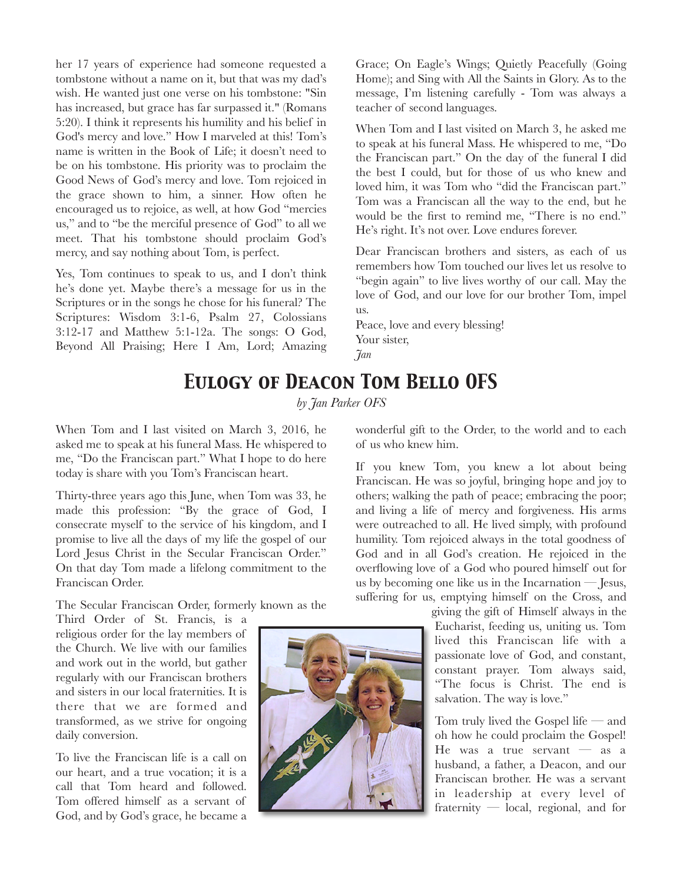her 17 years of experience had someone requested a tombstone without a name on it, but that was my dad's wish. He wanted just one verse on his tombstone: "Sin has increased, but grace has far surpassed it." (Romans 5:20). I think it represents his humility and his belief in God's mercy and love." How I marveled at this! Tom's name is written in the Book of Life; it doesn't need to be on his tombstone. His priority was to proclaim the Good News of God's mercy and love. Tom rejoiced in the grace shown to him, a sinner. How often he encouraged us to rejoice, as well, at how God "mercies us," and to "be the merciful presence of God" to all we meet. That his tombstone should proclaim God's mercy, and say nothing about Tom, is perfect.

Yes, Tom continues to speak to us, and I don't think he's done yet. Maybe there's a message for us in the Scriptures or in the songs he chose for his funeral? The Scriptures: Wisdom 3:1-6, Psalm 27, Colossians 3:12-17 and Matthew 5:1-12a. The songs: O God, Beyond All Praising; Here I Am, Lord; Amazing Grace; On Eagle's Wings; Quietly Peacefully (Going Home); and Sing with All the Saints in Glory. As to the message, I'm listening carefully - Tom was always a teacher of second languages.

When Tom and I last visited on March 3, he asked me to speak at his funeral Mass. He whispered to me, "Do the Franciscan part." On the day of the funeral I did the best I could, but for those of us who knew and loved him, it was Tom who "did the Franciscan part." Tom was a Franciscan all the way to the end, but he would be the first to remind me, "There is no end." He's right. It's not over. Love endures forever.

Dear Franciscan brothers and sisters, as each of us remembers how Tom touched our lives let us resolve to "begin again" to live lives worthy of our call. May the love of God, and our love for our brother Tom, impel us.

Peace, love and every blessing! Your sister, *Jan*

## *Eulogy of Deacon Tom Bello OFS*

*by Jan Parker OFS* 

When Tom and I last visited on March 3, 2016, he asked me to speak at his funeral Mass. He whispered to me, "Do the Franciscan part." What I hope to do here today is share with you Tom's Franciscan heart.

Thirty-three years ago this June, when Tom was 33, he made this profession: "By the grace of God, I consecrate myself to the service of his kingdom, and I promise to live all the days of my life the gospel of our Lord Jesus Christ in the Secular Franciscan Order." On that day Tom made a lifelong commitment to the Franciscan Order.

The Secular Franciscan Order, formerly known as the

Third Order of St. Francis, is a religious order for the lay members of the Church. We live with our families and work out in the world, but gather regularly with our Franciscan brothers and sisters in our local fraternities. It is there that we are formed and transformed, as we strive for ongoing daily conversion.

To live the Franciscan life is a call on our heart, and a true vocation; it is a call that Tom heard and followed. Tom offered himself as a servant of God, and by God's grace, he became a



wonderful gift to the Order, to the world and to each of us who knew him.

If you knew Tom, you knew a lot about being Franciscan. He was so joyful, bringing hope and joy to others; walking the path of peace; embracing the poor; and living a life of mercy and forgiveness. His arms were outreached to all. He lived simply, with profound humility. Tom rejoiced always in the total goodness of God and in all God's creation. He rejoiced in the overflowing love of a God who poured himself out for us by becoming one like us in the Incarnation — Jesus, suffering for us, emptying himself on the Cross, and

> giving the gift of Himself always in the Eucharist, feeding us, uniting us. Tom lived this Franciscan life with a passionate love of God, and constant, constant prayer. Tom always said, "The focus is Christ. The end is salvation. The way is love."

Tom truly lived the Gospel life — and oh how he could proclaim the Gospel! He was a true servant  $-$  as a husband, a father, a Deacon, and our Franciscan brother. He was a servant in leadership at every level of fraternity — local, regional, and for